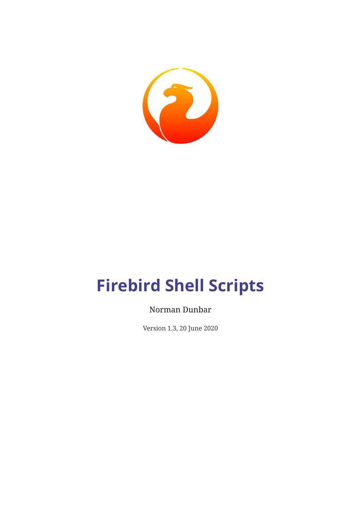

# **Firebird Shell Scripts**

#### Norman Dunbar

Version 1.3, 20 June 2020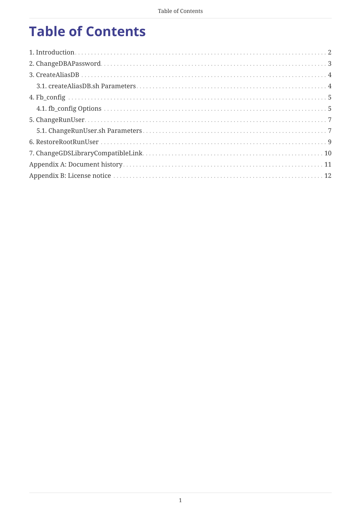## **Table of Contents**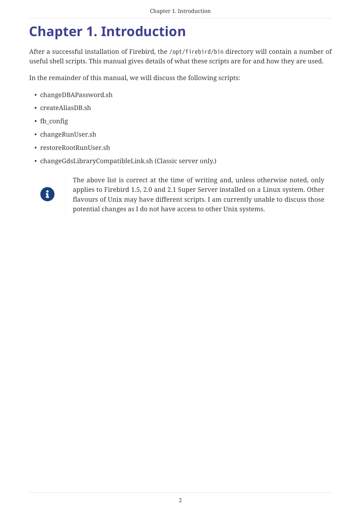### <span id="page-2-0"></span>**Chapter 1. Introduction**

After a successful installation of Firebird, the /opt/firebird/bin directory will contain a number of useful shell scripts. This manual gives details of what these scripts are for and how they are used.

In the remainder of this manual, we will discuss the following scripts:

- changeDBAPassword.sh
- createAliasDB.sh
- fb\_config
- changeRunUser.sh
- restoreRootRunUser.sh
- changeGdsLibraryCompatibleLink.sh (Classic server only.)



The above list is correct at the time of writing and, unless otherwise noted, only applies to Firebird 1.5, 2.0 and 2.1 Super Server installed on a Linux system. Other flavours of Unix may have different scripts. I am currently unable to discuss those potential changes as I do not have access to other Unix systems.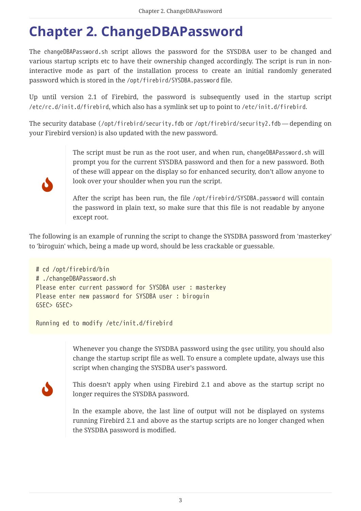### <span id="page-3-0"></span>**Chapter 2. ChangeDBAPassword**

The changeDBAPassword.sh script allows the password for the SYSDBA user to be changed and various startup scripts etc to have their ownership changed accordingly. The script is run in noninteractive mode as part of the installation process to create an initial randomly generated password which is stored in the /opt/firebird/SYSDBA.password file.

Up until version 2.1 of Firebird, the password is subsequently used in the startup script /etc/rc.d/init.d/firebird, which also has a symlink set up to point to /etc/init.d/firebird.

The security database (/opt/firebird/security.fdb or /opt/firebird/security2.fdb — depending on your Firebird version) is also updated with the new password.



The script must be run as the root user, and when run, changeDBAPassword.sh will prompt you for the current SYSDBA password and then for a new password. Both of these will appear on the display so for enhanced security, don't allow anyone to look over your shoulder when you run the script.

After the script has been run, the file /opt/firebird/SYSDBA.password will contain the password in plain text, so make sure that this file is not readable by anyone except root.

The following is an example of running the script to change the SYSDBA password from 'masterkey' to 'biroguin' which, being a made up word, should be less crackable or guessable.

```
# cd /opt/firebird/bin
# ./changeDBAPassword.sh
Please enter current password for SYSDBA user : masterkey
Please enter new password for SYSDBA user : biroguin
GSEC> GSEC>
```
Running ed to modify /etc/init.d/firebird

Whenever you change the SYSDBA password using the gsec utility, you should also change the startup script file as well. To ensure a complete update, always use this script when changing the SYSDBA user's password.



This doesn't apply when using Firebird 2.1 and above as the startup script no longer requires the SYSDBA password.

In the example above, the last line of output will not be displayed on systems running Firebird 2.1 and above as the startup scripts are no longer changed when the SYSDBA password is modified.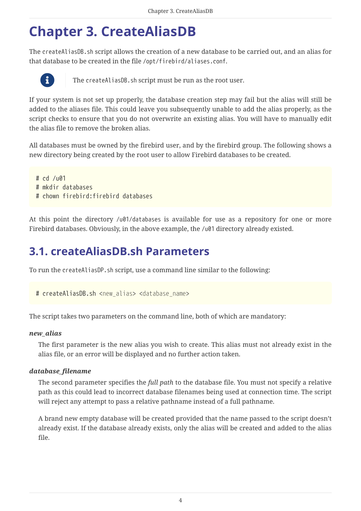### <span id="page-4-0"></span>**Chapter 3. CreateAliasDB**

The createAliasDB.sh script allows the creation of a new database to be carried out, and an alias for that database to be created in the file /opt/firebird/aliases.conf.



The createAliasDB.sh script must be run as the root user.

If your system is not set up properly, the database creation step may fail but the alias will still be added to the aliases file. This could leave you subsequently unable to add the alias properly, as the script checks to ensure that you do not overwrite an existing alias. You will have to manually edit the alias file to remove the broken alias.

All databases must be owned by the firebird user, and by the firebird group. The following shows a new directory being created by the root user to allow Firebird databases to be created.

# cd /u01 # mkdir databases # chown firebird:firebird databases

At this point the directory /u01/databases is available for use as a repository for one or more Firebird databases. Obviously, in the above example, the /u01 directory already existed.

### <span id="page-4-1"></span>**3.1. createAliasDB.sh Parameters**

To run the createAliasDP.sh script, use a command line similar to the following:

# createAliasDB.sh <*new\_alias*> <*database\_name*>

The script takes two parameters on the command line, both of which are mandatory:

#### *new\_alias*

The first parameter is the new alias you wish to create. This alias must not already exist in the alias file, or an error will be displayed and no further action taken.

#### *database\_filename*

The second parameter specifies the *full path* to the database file. You must not specify a relative path as this could lead to incorrect database filenames being used at connection time. The script will reject any attempt to pass a relative pathname instead of a full pathname.

A brand new empty database will be created provided that the name passed to the script doesn't already exist. If the database already exists, only the alias will be created and added to the alias file.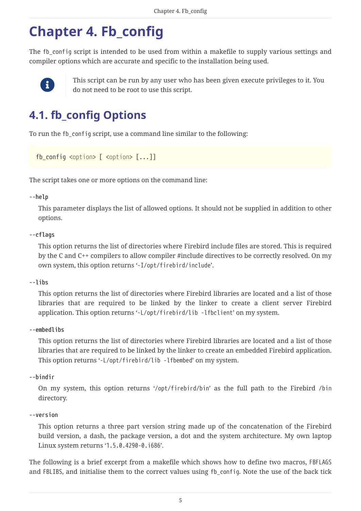## <span id="page-5-0"></span>**Chapter 4. Fb\_config**

The fb config script is intended to be used from within a makefile to supply various settings and compiler options which are accurate and specific to the installation being used.



This script can be run by any user who has been given execute privileges to it. You do not need to be root to use this script.

### <span id="page-5-1"></span>**4.1. fb\_config Options**

To run the fb\_config script, use a command line similar to the following:

```
fb_config <option> [ <option> [...]]
```
The script takes one or more options on the command line:

**--help**

This parameter displays the list of allowed options. It should not be supplied in addition to other options.

#### **--cflags**

This option returns the list of directories where Firebird include files are stored. This is required by the C and C++ compilers to allow compiler #include directives to be correctly resolved. On my own system, this option returns '-I/opt/firebird/include'.

**--libs**

This option returns the list of directories where Firebird libraries are located and a list of those libraries that are required to be linked by the linker to create a client server Firebird application. This option returns '-L/opt/firebird/lib -lfbclient' on my system.

#### **--embedlibs**

This option returns the list of directories where Firebird libraries are located and a list of those libraries that are required to be linked by the linker to create an embedded Firebird application. This option returns '-L/opt/firebird/lib -lfbembed' on my system.

**--bindir**

On my system, this option returns '/opt/firebird/bin' as the full path to the Firebird /bin directory.

#### **--version**

This option returns a three part version string made up of the concatenation of the Firebird build version, a dash, the package version, a dot and the system architecture. My own laptop Linux system returns '1.5.0.4290-0.i686'.

The following is a brief excerpt from a makefile which shows how to define two macros, FBFLAGS and FBLIBS, and initialise them to the correct values using fb\_config. Note the use of the back tick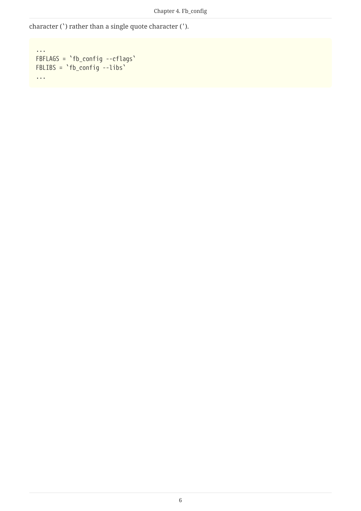character (`) rather than a single quote character (').

```
...
FBFLAGS = `fb_config --cflags`
FBLIBS = `fb_config --libs`
...
```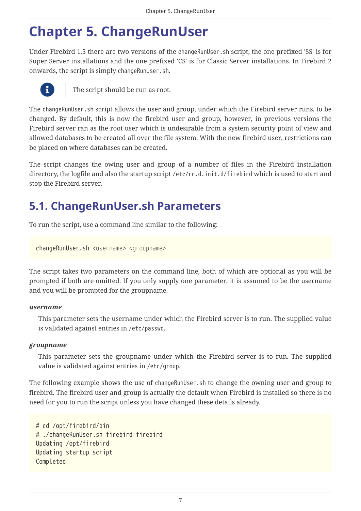### <span id="page-7-0"></span>**Chapter 5. ChangeRunUser**

Under Firebird 1.5 there are two versions of the changeRunUser.sh script, the one prefixed 'SS' is for Super Server installations and the one prefixed 'CS' is for Classic Server installations. In Firebird 2 onwards, the script is simply changeRunUser.sh.



**The script should be run as root.** 

The changeRunUser.sh script allows the user and group, under which the Firebird server runs, to be changed. By default, this is now the firebird user and group, however, in previous versions the Firebird server ran as the root user which is undesirable from a system security point of view and allowed databases to be created all over the file system. With the new firebird user, restrictions can be placed on where databases can be created.

The script changes the owing user and group of a number of files in the Firebird installation directory, the logfile and also the startup script /etc/rc.d.init.d/firebird which is used to start and stop the Firebird server.

### <span id="page-7-1"></span>**5.1. ChangeRunUser.sh Parameters**

To run the script, use a command line similar to the following:

```
changeRunUser.sh <username> <groupname>
```
The script takes two parameters on the command line, both of which are optional as you will be prompted if both are omitted. If you only supply one parameter, it is assumed to be the username and you will be prompted for the groupname.

#### *username*

This parameter sets the username under which the Firebird server is to run. The supplied value is validated against entries in /etc/passwd.

#### *groupname*

This parameter sets the groupname under which the Firebird server is to run. The supplied value is validated against entries in /etc/group.

The following example shows the use of changeRunUser. Sh to change the owning user and group to firebird. The firebird user and group is actually the default when Firebird is installed so there is no need for you to run the script unless you have changed these details already.

```
# cd /opt/firebird/bin
# ./changeRunUser.sh firebird firebird
Updating /opt/firebird
Updating startup script
Completed
```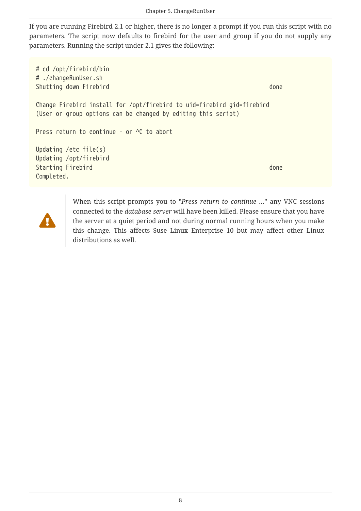If you are running Firebird 2.1 or higher, there is no longer a prompt if you run this script with no parameters. The script now defaults to firebird for the user and group if you do not supply any parameters. Running the script under 2.1 gives the following:

```
# cd /opt/firebird/bin
# ./changeRunUser.sh
Shutting down Firebird done and the state of the state of the state of the state of the state of the state of the state of the state of the state of the state of the state of the state of the state of the state of the stat
Change Firebird install for /opt/firebird to uid=firebird gid=firebird
(User or group options can be changed by editing this script)
Press return to continue - or <sup>^</sup>C to abort
Updating /etc file(s)
Updating /opt/firebird
Starting Firebird done and the starting firebird done and the starting firebird done
Completed.
```


When this script prompts you to "*Press return to continue …*" any VNC sessions connected to the *database server* will have been killed. Please ensure that you have the server at a quiet period and not during normal running hours when you make this change. This affects Suse Linux Enterprise 10 but may affect other Linux distributions as well.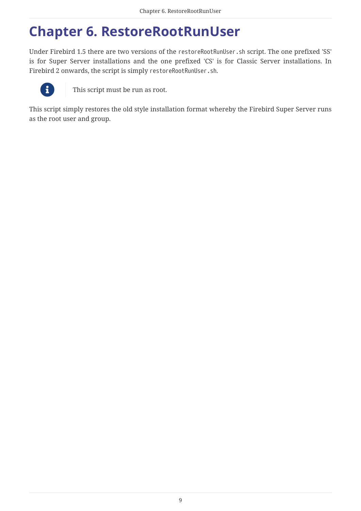### <span id="page-9-0"></span>**Chapter 6. RestoreRootRunUser**

Under Firebird 1.5 there are two versions of the restoreRootRunUser.sh script. The one prefixed 'SS' is for Super Server installations and the one prefixed 'CS' is for Classic Server installations. In Firebird 2 onwards, the script is simply restoreRootRunUser.sh.



This script must be run as root.

This script simply restores the old style installation format whereby the Firebird Super Server runs as the root user and group.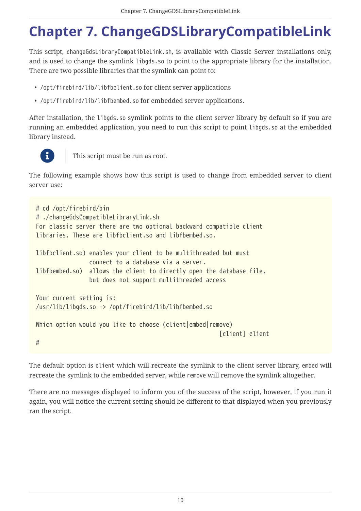## <span id="page-10-0"></span>**Chapter 7. ChangeGDSLibraryCompatibleLink**

This script, changeGdsLibraryCompatibleLink.sh, is available with Classic Server installations only, and is used to change the symlink libgds.so to point to the appropriate library for the installation. There are two possible libraries that the symlink can point to:

- /opt/firebird/lib/libfbclient.so for client server applications
- /opt/firebird/lib/libfbembed.so for embedded server applications.

After installation, the libgds.so symlink points to the client server library by default so if you are running an embedded application, you need to run this script to point libgds.so at the embedded library instead.



**This script must be run as root.** 

The following example shows how this script is used to change from embedded server to client server use:

```
# cd /opt/firebird/bin
# ./changeGdsCompatibleLibraryLink.sh
For classic server there are two optional backward compatible client
libraries. These are libfbclient.so and libfbembed.so.
libfbclient.so) enables your client to be multithreaded but must
                  connect to a database via a server.
libfbembed.so) allows the client to directly open the database file,
                  but does not support multithreaded access
Your current setting is:
/usr/lib/libgds.so -> /opt/firebird/lib/libfbembed.so
Which option would you like to choose (client|embed|remove)
                                                        [client] client
#
```
The default option is client which will recreate the symlink to the client server library, embed will recreate the symlink to the embedded server, while remove will remove the symlink altogether.

There are no messages displayed to inform you of the success of the script, however, if you run it again, you will notice the current setting should be different to that displayed when you previously ran the script.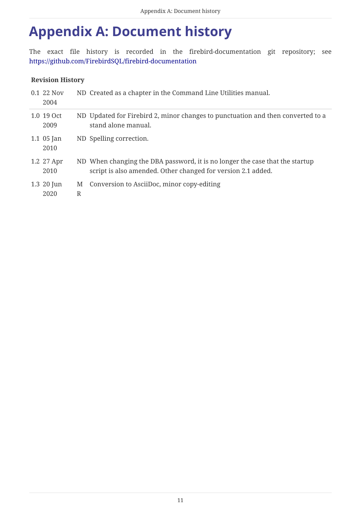### <span id="page-11-0"></span>**Appendix A: Document history**

The exact file history is recorded in the firebird-documentation git repository; see <https://github.com/FirebirdSQL/firebird-documentation>

#### **Revision History**

| 0.1 22 Nov<br>2004     |        | ND Created as a chapter in the Command Line Utilities manual.                                                                                |
|------------------------|--------|----------------------------------------------------------------------------------------------------------------------------------------------|
| 1.0 19 Oct<br>2009     |        | ND Updated for Firebird 2, minor changes to punctuation and then converted to a<br>stand alone manual.                                       |
| 1.1 $05$ Jan<br>2010   |        | ND Spelling correction.                                                                                                                      |
| 1.2 27 Apr<br>2010     |        | ND When changing the DBA password, it is no longer the case that the startup<br>script is also amended. Other changed for version 2.1 added. |
| $1.3 \ 20$ Jun<br>2020 | M<br>R | Conversion to AsciiDoc, minor copy-editing                                                                                                   |